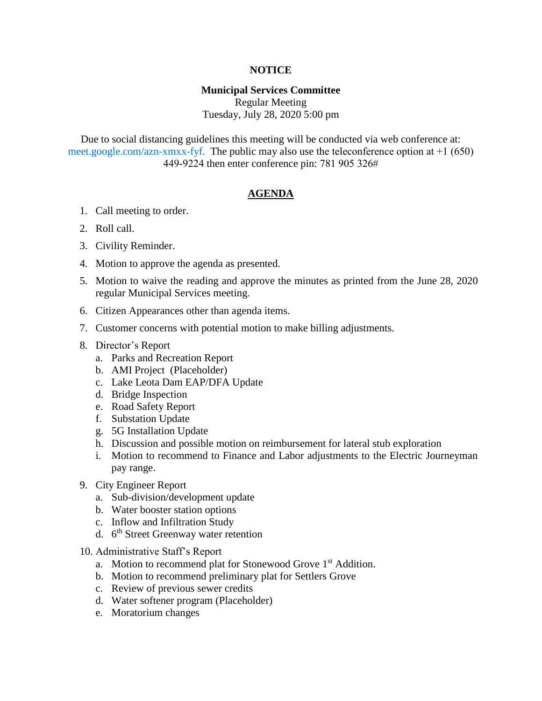## **NOTICE**

## **Municipal Services Committee**

Regular Meeting Tuesday, July 28, 2020 5:00 pm

Due to social distancing guidelines this meeting will be conducted via web conference at: meet.google.com/azn-xmxx-fyf. The public may also use the teleconference option at +1 (650) 449-9224 then enter conference pin: 781 905 326#

## **AGENDA**

- 1. Call meeting to order.
- 2. Roll call.
- 3. Civility Reminder.
- 4. Motion to approve the agenda as presented.
- 5. Motion to waive the reading and approve the minutes as printed from the June 28, 2020 regular Municipal Services meeting.
- 6. Citizen Appearances other than agenda items.
- 7. Customer concerns with potential motion to make billing adjustments.
- 8. Director's Report
	- a. Parks and Recreation Report
	- b. AMI Project (Placeholder)
	- c. Lake Leota Dam EAP/DFA Update
	- d. Bridge Inspection
	- e. Road Safety Report
	- f. Substation Update
	- g. 5G Installation Update
	- h. Discussion and possible motion on reimbursement for lateral stub exploration
	- i. Motion to recommend to Finance and Labor adjustments to the Electric Journeyman pay range.
- 9. City Engineer Report
	- a. Sub-division/development update
	- b. Water booster station options
	- c. Inflow and Infiltration Study
	- d. 6<sup>th</sup> Street Greenway water retention
- 10. Administrative Staff's Report
	- a. Motion to recommend plat for Stonewood Grove 1<sup>st</sup> Addition.
	- b. Motion to recommend preliminary plat for Settlers Grove
	- c. Review of previous sewer credits
	- d. Water softener program (Placeholder)
	- e. Moratorium changes